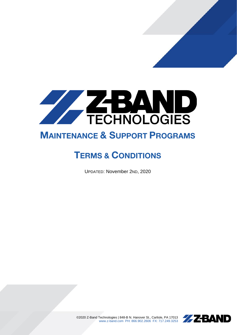

# MAINTENANCE & SUPPORT PROGRAMS

# TERMS & CONDITIONS

UPDATED: November 2ND, 2020



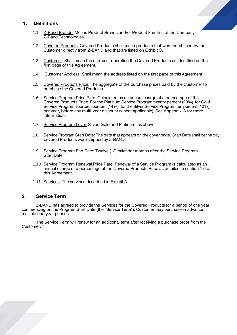## 1. Definitions

- 1.1 **Z-Band Brands:** Means Product Brands and/or Product Families of the Company Z-Band Technologies.
- 1.2 Covered Products: Covered Products shall mean products that were purchased by the Customer directly from Z-BAND and that are listed on Exhibit C.
- 1.3 Customer: Shall mean the end-user operating the Covered Products as identified on the first page of this Agreement.
- 1.4 Customer Address: Shall mean the address listed on the first page of this Agreement.
- 1.5 Covered Products Price: The aggregate of the purchase prices paid by the Customer to purchase the Covered Products.
- 1.6 Service Program Price Rate: Calculated as an annual charge of a percentage of the Covered Products Price. For the Platinum Service Program twenty percent (20%), for Gold Service Program fourteen percent (14%), for the Silver Service Program ten percent (10%) per year, before any multi-year discount (where applicable). See Appendix-A for more information.
- 1.7 Service Program Level: Silver, Gold and Platinum, as above.
- 1.8 Service Program Start Date: The date that appears on the cover page. Start Date shall be the day covered Products were shipped by Z-BAND.
- 1.9 Service Program End Date: Twelve (12) calendar months after the Service Program Start Date.
- 1.10 Service Program Renewal Price Rate: Renewal of a Service Program is calculated as an annual charge of a percentage of the Covered Products Price as detailed in section 1.6 of this Agreement.
- 1.11 Services: The services described in Exhibit A.

## 2. Service Term

Z-BAND has agreed to provide the Services for the Covered Products for a period of one year, commencing on the Program Start Date (the "Service Term"). Customer may purchase in advance multiple one-year periods.

The Service Term will renew for an additional term after receiving a purchase order from the Customer.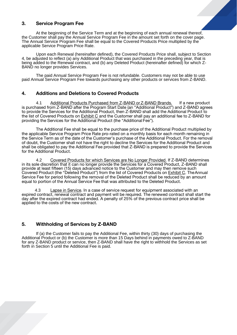# 3. Service Program Fee

At the beginning of the Service Term and at the beginning of each annual renewal thereof, the Customer shall pay the Annual Service Program Fee in the amount set forth on the cover page. The Annual Service Program Fee shall be equal to the Covered Products Price multiplied by the applicable Service Program Price Rate.

Upon each Renewal (hereinafter defined), the Covered Products Price shall, subject to Section 4, be adjusted to reflect (a) any Additional Product that was purchased in the preceding year, that is being added to the Renewal contract, and (b) any Deleted Product (hereinafter defined) for which Z-BAND no longer provides Services.

The paid Annual Service Program Fee is not refundable. Customers may not be able to use paid Annual Service Program Fee towards purchasing any other products or services from Z-BAND.

## 4. Additions and Deletions to Covered Products

4.1 Additional Products Purchased from Z-BAND or Z-BAND Brands. If a new product is purchased from Z-BAND after the Program Start Date (an "Additional Product") and Z-BAND agrees to provide the Services for the Additional Product, then Z-BAND shall add the Additional Product to the list of Covered Products on **Exhibit C** and the Customer shall pay an additional fee to Z-BAND for providing the Services for the Additional Product (the "Additional Fee").

The Additional Fee shall be equal to the purchase price of the Additional Product multiplied by the applicable Service Program Price Rate pro-rated on a monthly basis for each month remaining in the Service Term as of the date of the Customer's purchase of the Additional Product. For the removal of doubt, the Customer shall not have the right to decline the Services for the Additional Product and shall be obligated to pay the Additional Fee provided that Z-BAND is prepared to provide the Services for the Additional Product.

4.2 Covered Products for which Services are No Longer Provided. If Z-BAND determines in its sole discretion that it can no longer provide the Services for a Covered Product, Z-BAND shall provide at least fifteen (15) days advanced notice to the Customer and may then remove such Covered Product (the "Deleted Product") from the list of Covered Products on Exhibit C. TheAnnual Service Fee for period following the removal of the Deleted Product shall be reduced by an amount equal to portion of the Annual Service Fee that was attributed to the Deleted Product.

4.3 Lapse in Service. In a case of service request for equipment associated with an expired contract, renewal contract and payment will be required. The renewed contract shall start the day after the expired contract had ended. A penalty of 25% of the previous contract price shall be applied to the costs of the new contract.

## 5. Withholding of Services by Z-BAND

If (a) the Customer fails to pay the Additional Fee, within thirty (30) days of purchasing the Additional Product or (b) the Customer is more than 15 Days behind in payments owed to Z-BAND for any Z-BAND product or service, then Z-BAND shall have the right to withhold the Services as set forth in Section 5 until the Additional Fee is paid.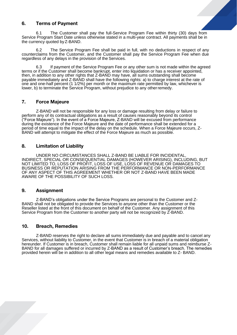## 6. Terms of Payment

6.1 The Customer shall pay the full-Service Program Fee within thirty (30) days from Service Program Start Date unless otherwise stated in a multi-year contract. All payments shall be in the currency quoted byZ-BAND.

6.2 The Service Program Fee shall be paid in full, with no deductions in respect of any counterclaims from the Customer, and the Customer shall pay the Service Program Fee when due regardless of any delays in the provision of the Services.

6.3 If payment of the Service Program Fee or any other sum is not made within the agreed terms or if the Customer shall become bankrupt, enter into liquidation or has a receiver appointed, then, in addition to any other rights that Z-BAND may have, all sums outstanding shall become payable immediately and Z-BAND shall have the following rights: a) to charge interest at the rate of one and one-half percent (1 1/2%) per month or the maximum rate permitted by law, whichever is lower, b) to terminate the Service Program, without prejudice to any otherremedy.

## 7. Force Majeure

Z-BAND will not be responsible for any loss or damage resulting from delay or failure to perform any of its contractual obligations as a result of causes reasonably beyond its control ("Force Majeure"). In the event of a Force Majeure, Z-BAND will be excused from performance during the existence of the Force Majeure and the date of performance shall be extended for a period of time equal to the impact of the delay on the schedule. When a Force Majeure occurs, Z-BAND will attempt to mitigate the effect of the Force Majeure as much as possible.

## 8. Limitation of Liability

UNDER NO CIRCUMSTANCES SHALL Z-BAND BE LIABLE FOR INCIDENTAL, INDIRECT, SPECIAL OR CONSEQUENTIAL DAMAGES (HOWEVER ARISING), INCLUDING, BUT NOT LIMITED TO, LOSS OF PROFIT, LOSS OF USE, LOSS OF REVENUE OR DAMAGES TO BUSINESS OR REPUTATION ARISING FROM THE PERFORMANCE OR NON-PERFORMANCE OF ANY ASPECT OF THIS AGREEMENT WHETHER OR NOT Z-BAND HAVE BEEN MADE AWARE OF THE POSSIBILITY OF SUCH LOSS.

#### 9. Assignment

Z-BAND's obligations under the Service Programs are personal to the Customer and Z-BAND shall not be obligated to provide the Services to anyone other than the Customer or the Reseller listed at the front of this document on behalf of the Customer. Any assignment of this Service Program from the Customer to another party will not be recognized by Z-BAND.

## 10. Breach, Remedies

Z-BAND reserves the right to declare all sums immediately due and payable and to cancel any Services, without liability to Customer, in the event that Customer is in breach of a material obligation hereunder. If Customer is in breach, Customer shall remain liable for all unpaid sums and reimburse Z-BAND for all damages suffered or incurred by Z-BAND as a result of Customer's breach. The remedies provided herein will be in addition to all other legal means and remedies available to Z- BAND.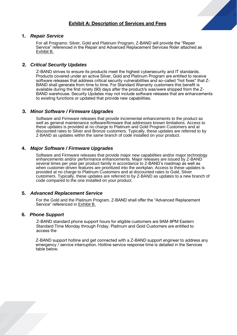

## 1. *Repair Service*

For all Programs: Silver, Gold and Platinum Program, Z-BAND will provide the "Repair Service" referenced in the Repair and Advanced Replacement Services Rider attached as Exhibit B.

## 2. *Critical Security Updates*

Z-BAND strives to ensure its products meet the highest cybersecurity and IT standards. Products covered under an active Silver, Gold and Platinum Program are entitled to receive software releases that address critical security vulnerabilities and so-called "hot fixes" that Z-BAND shall generate from time to time. For Standard Warranty customers this benefit is available during the first ninety (90) days after the product/s was/were shipped from the Z-BAND warehouse. Security Updates may not include software releases that are enhancements to existing functions or updated that provide new capabilities.

## 3. *Minor Software / Firmware Upgrades*

Software and Firmware releases that provide incremental enhancements to the product as well as general maintenance software/firmware that addresses known limitations. Access to these updates is provided at no charge to Platinum and Gold Program Customers and at discounted rates to Silver and Bronze customers. Typically, these updates are referred to by Z-BAND as updates within the same branch of code installed on your product.

## 4. *Major Software / Firmware Upgrades*

Software and Firmware releases that provide major new capabilities and/or major technology enhancements and/or performance enhancements. Major releases are issued by Z-BAND several times per year per product family in accordance to Z-BAND's roadmap as well as when customer-driven features are prioritized into the workplan. Access to these updates is provided at no charge to Platinum Customers and at discounted rates to Gold, Silver customers. Typically, these updates are referred to by Z-BAND as updates to a new branch of code compared to the one installed on your product.

## 5. *Advanced Replacement Service*

For the Gold and the Platinum Program, Z-BAND shall offer the "Advanced Replacement Service" referenced in Exhibit B.

## 6. *Phone Support*

Z-BAND standard phone support hours for eligible customers are 9AM-8PM Eastern Standard Time Monday through Friday. Platinum and Gold Customers are entitled to access the

Z-BAND support hotline and get connected with a Z-BAND support engineer to address any emergency / service interruption. Hotline service response time is detailed in the Services table below.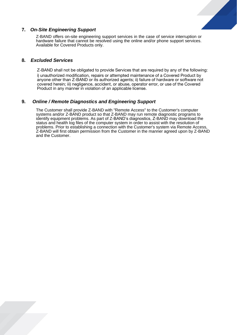

# 7. *On-Site Engineering Support*

Z-BAND offers on-site engineering support services in the case of service interruption or hardware failure that cannot be resolved using the online and/or phone support services. Available for Covered Products only.

## 8. *Excluded Services*

Z-BAND shall not be obligated to provide Services that are required by any of the following: i) unauthorized modification, repairs or attempted maintenance of a Covered Product by anyone other than Z-BAND or its authorized agents; ii) failure of hardware or software not covered herein; iii) negligence, accident, or abuse, operator error, or use of the Covered Product in any manner in violation of an applicable license.

# 9. *Online / Remote Diagnostics and Engineering Support*

The Customer shall provide Z-BAND with "Remote Access" to the Customer's computer systems and/or Z-BAND product so that Z-BAND may run remote diagnostic programs to identify equipment problems. As part of Z-BAND's diagnostics, Z-BAND may download the status and health log files of the computer system in order to assist with the resolution of problems. Prior to establishing a connection with the Customer's system via Remote Access, Z-BAND will first obtain permission from the Customer in the manner agreed upon by Z-BAND and the Customer.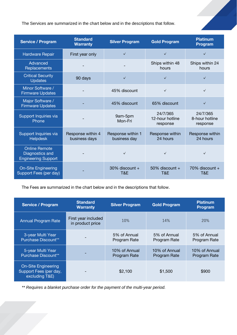The Services are summarized in the chart below and in the descriptions that follow.

| <b>Service / Program</b>                                              | <b>Standard</b><br><b>Warranty</b> | <b>Silver Program</b>             | <b>Gold Program</b>                     | <b>Platinum</b><br>Program             |
|-----------------------------------------------------------------------|------------------------------------|-----------------------------------|-----------------------------------------|----------------------------------------|
| <b>Hardware Repair</b>                                                | First year only                    | $\checkmark$                      | $\checkmark$                            | $\checkmark$                           |
| Advanced<br>Replacements                                              |                                    |                                   | Ships within 48<br>hours                | Ships within 24<br>hours               |
| <b>Critical Security</b><br><b>Updates</b>                            | 90 days                            | $\checkmark$                      | $\checkmark$                            | $\checkmark$                           |
| Minor Software /<br><b>Firmware Updates</b>                           |                                    | 45% discount                      | $\checkmark$                            | $\checkmark$                           |
| Major Software /<br><b>Firmware Updates</b>                           |                                    | 45% discount                      | 65% discount                            | $\checkmark$                           |
| Support Inquiries via<br>Phone                                        |                                    | 9am-5pm<br>Mon-Fri                | 24/7/365<br>12-hour hotline<br>response | 24/7/365<br>8-hour hotline<br>response |
| Support Inquiries via<br><b>Helpdesk</b>                              | Response within 4<br>business days | Response within 1<br>business day | Response within<br>24 hours             | Response within<br>24 hours            |
| <b>Online Remote</b><br>Diagnostics and<br><b>Engineering Support</b> |                                    | $\checkmark$                      | $\checkmark$                            | $\checkmark$                           |
| <b>On-Site Engineering</b><br>Support Fees (per day)                  |                                    | $30\%$ discount +<br>T&E          | 50% discount +<br>T&E                   | $70\%$ discount +<br>T&E               |

The Fees are summarized in the chart below and in the descriptions that follow.

| <b>Service / Program</b>                                               | <b>Standard</b><br><b>Warranty</b>      | <b>Silver Program</b>                | <b>Gold Program</b>                  | <b>Platinum</b><br>Program           |
|------------------------------------------------------------------------|-----------------------------------------|--------------------------------------|--------------------------------------|--------------------------------------|
| <b>Annual Program Rate</b>                                             | First year included<br>in product price | 10%                                  | 14%                                  | 20%                                  |
| 3-year Multi Year<br>Purchase Discount**                               |                                         | 5% of Annual<br>Program Rate         | 5% of Annual<br>Program Rate         | 5% of Annual<br>Program Rate         |
| 5-year Multi Year<br>Purchase Discount**                               |                                         | 10% of Annual<br><b>Program Rate</b> | 10% of Annual<br><b>Program Rate</b> | 10% of Annual<br><b>Program Rate</b> |
| <b>On-Site Engineering</b><br>Support Fees (per day,<br>excluding T&E) |                                         | \$2,100                              | \$1,500                              | \$900                                |

*\*\* Requires a blanket purchase order for the payment of the multi-year period.*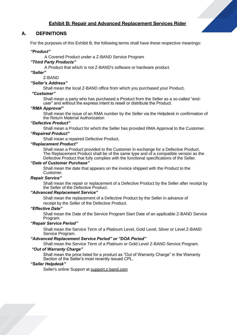## Exhibit B: Repair and Advanced Replacement Services Rider

## A. DEFINITIONS

For the purposes of this Exhibit B, the following terms shall have these respective meanings:

#### *"Product"*

A Covered Product under a Z-BAND Service Program

#### *"Third Party Products"*

A Product that which is not Z-BAND's software or hardware product.

*"Seller"*

## Z-BAND

#### *"Seller's Address"*

Shall mean the local Z-BAND office from which you purchased your Product.

# *"Customer"*

Shall mean a party who has purchased a Product from the Seller as a so-called "enduser" and without the express intent to resell or distribute the Product.

#### *"RMA Approval"*

Shall mean the issue of an RMA number by the Seller via the Helpdesk in confirmation of the Return Material Authorization

#### *"Defective Product"*

Shall mean a Product for which the Seller has provided RMA Approval to the Customer.

#### *"Repaired Product"*

Shall mean a repaired Defective Product.

#### *"Replacement Product"*

Shall mean a Product provided to the Customer in exchange for a Defective Product. The Replacement Product shall be of the same type and of a compatible version as the Defective Product that fully complies with the functional specifications of the Seller.

#### *"Date of Customer Purchase"*

Shall mean the date that appears on the invoice shipped with the Product to the Customer.

#### *Repair Service"*

Shall mean the repair or replacement of a Defective Product by the Seller after receipt by the Seller of the Defective Product.

## *"Advanced Replacement Service"*

Shall mean the replacement of a Defective Product by the Seller in advance of receipt by the Seller of the Defective Product.

#### *"Effective Date"*

Shall mean the Date of the Service Program Start Date of an applicable Z-BAND Service Program.

#### *"Repair Service Period"*

Shall mean the Service Term of a Platinum Level, Gold Level, Silver or Level Z-BAND Service Program.

#### *"Advanced Replacement Service Period" or "DOA Period"*

Shall mean the Service Term of a Platinum or Gold Level Z-BAND Service Program.

#### *"Out of Warranty Charge"*

Shall mean the price listed for a product as "Out of Warranty Charge" in the Warranty Section of the Seller's most recently issued CPL.

## *"Seller Helpdesk"*

Seller's online Support at support.z-band.com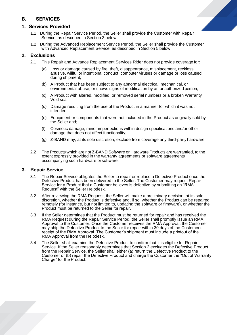# B. SERVICES

## **1.** Services Provided

- 1.1 During the Repair Service Period, the Seller shall provide the Customer with Repair Service, as described in Section 3 below.
- 1.2 During the Advanced Replacement Service Period, the Seller shall provide the Customer with Advanced Replacement Service, as described in Section 5 below.

## **2.** Exclusions

- 2.1 This Repair and Advance Replacement Services Rider does not provide coverage for:
	- (a) Loss or damage caused by fire, theft, disappearance, misplacement, reckless, abusive, willful or intentional conduct, computer viruses or damage or loss caused during shipment;
	- (b) A Product that has been subject to any abnormal electrical, mechanical, or environmental abuse, or shows signs of modification by an unauthorized person;
	- (c) A Product with altered, modified, or removed serial numbers or a broken Warranty Void seal;
	- (d) Damage resulting from the use of the Product in a manner for which it was not intended;
	- (e) Equipment or components that were not included in the Product as originally sold by the Seller and;
	- (f) Cosmetic damage, minor imperfections within design specifications and/or other damage that does not affect functionality;
	- (g) Z-BAND may, at its sole discretion, exclude from coverage any third-partyhardware.
- 2.2 The Products which are not Z-BAND Software or Hardware Products are warrantied, to the extent expressly provided in the warranty agreements or software agreements accompanying such hardware or software.

## **3.** Repair Service

- 3.1 The Repair Service obligates the Seller to repair or replace a Defective Product once the Defective Product has been delivered to the Seller. The Customer may request Repair Service for a Product that a Customer believes is defective by submitting an "RMA Request" with the Seller Helpdesk.
- 3.2 After reviewing the RMA Request, the Seller will make a preliminary decision, at its sole discretion, whether the Product is defective and, if so, whether the Product can be repaired remotely (for instance, but not limited to, updating the software or firmware), or whether the Product must be returned to the Seller for repair.
- 3.3 If the Seller determines that the Product must be returned for repair and has received the RMA Request during the Repair Service Period, the Seller shall promptly issue an RMA Approval to the Customer. Once the Customer receives the RMA Approval, the Customer may ship the Defective Product to the Seller for repair within 30 days of the Customer's receipt of the RMA Approval. The Customer's shipment must include a printout of the RMA Approval from the Helpdesk.
- 3.4 The Seller shall examine the Defective Product to confirm that it is eligible for Repair Service. If the Seller reasonably determines that Section 2 excludes the Defective Product from the Repair Service, the Seller shall either (a) return the Defective Product to the Customer or (b) repair the Defective Product and charge the Customer the "Out of Warranty Charge" for the Product.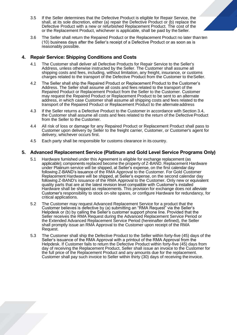- 3.5 If the Seller determines that the Defective Product is eligible for Repair Service, the shall, at its sole discretion, either (a) repair the Defective Product or (b) replace the Defective Product with a new or refurbished Replacement Product. The cost of the or the Replacement Product, whichever is applicable, shall be paid by the Seller.
- 3.6 The Seller shall return the Repaired Product or the Replacement Product no later than ten (10) business days after the Seller's receipt of a Defective Product or as soon as is reasonably possible.

# **4.** Repair Service: Shipping Conditions and Costs

- 4.1 The Customer shall deliver all Defective Products for Repair Service to the Seller's Address, unless otherwise instructed by the Seller. The Customer shall assume all shipping costs and fees, including, without limitation, any freight, insurance, or customs charges related to the transport of the Defective Product from the Customer to theSeller.
- 4.2 The Seller shall ship the Repaired Product or Replacement Product to the Customer's Address. The Seller shall assume all costs and fees related to the transport of the Repaired Product or Replacement Product from the Seller to the Customer. Customer may request the Repaired Product or Replacement Product to be sent to an alternate address, in which case Customer shall assume all shipping costs and fees related to the transport of the Repaired Product or Replacement Product to the alternate address
- 4.3 If the Seller returns a Defective Product to the Customer in accordance with Section 3.4, the Customer shall assume all costs and fees related to the return of the Defective Product from the Seller to the Customer.
- 4.4 All risk of loss or damage for any Repaired Product or Replacement Product shall pass to Customer upon delivery by Seller to the freight carrier, Customer, or Customer's agent for delivery, whichever occurs first.
- 4.5 Each party shall be responsible for customs clearance in its country.

## **5.** Advanced Replacement Service (Platinum and Gold Level Service Programs Only)

- 5.1 Hardware furnished under this Agreement is eligible for exchange replacement (as applicable); components replaced become the property of Z-BAND. Replacement Hardware under Platinum service will be shipped, at Seller's expense, on the first calendar day following Z-BAND's issuance of the RMA Approval to the Customer. For Gold Customer Replacement Hardware will be shipped, at Seller's expense, on the second calendar day following Z-BAND's issuance of the RMA Approval to the Customer. Only new or equivalent quality parts that are at the latest revision level compatible with Customer's installed Hardware shall be shipped as replacements. This provision for exchange does not alleviate Customer's responsibility to stock on-site spares, or configure Hardware for redundancy, for critical applications.
- 5.2 The Customer may request Advanced Replacement Service for a product that the Customer believes is defective by (a) submitting an "RMA Request" via the Seller's Helpdesk or (b) by calling the Seller's customer support phone line. Provided that the Seller receives the RMA Request during the Advanced Replacement Service Period or the Extended Advanced Replacement Service Period (hereinafter defined), the Seller shall promptly issue an RMA Approval to the Customer upon receipt of the RMA Request.
- 5.3 The Customer shall ship the Defective Product to the Seller within forty-five (45) days of the Seller's issuance of the RMA Approval with a printout of the RMA Approval from the Helpdesk. If Customer fails to return the Defective Product within forty-five (45) days from day of receiving the Replacement Product, Seller shall issue an invoice to the Customer for the full price of the Replacement Product and any amounts due for the replacement. Customer shall pay such invoice to Seller within thirty (30) days of receiving the invoice.